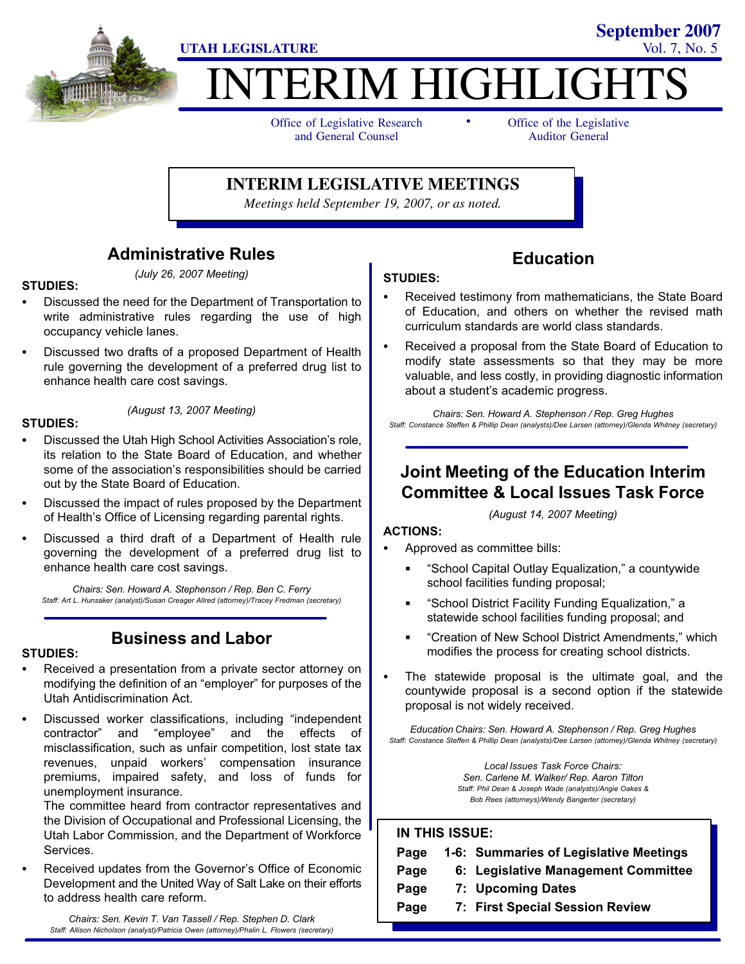

# **ITERIM HIGHLIGHT**

-

Office of Legislative Research and General Counsel

Office of the Legislative Auditor General

**September 2007**

**INTERIM LEGISLATIVE MEETINGS**

*Meetings held September 19, 2007, or as noted.*

### Administrative Rules (July 26, 2007 Meeting)

#### STUDIES:

- - Discussed the need for the Department of Transportation to write administrative rules regarding the use of high occupancy vehicle lanes.
- - Discussed two drafts of a proposed Department of Health rule governing the development of a preferred drug list to enhance health care cost savings.

#### STUDIES:

(August 13, 2007 Meeting)

- - Discussed the Utah High School Activities Association's role, its relation to the State Board of Education, and whether some of the association's responsibilities should be carried out by the State Board of Education.
- - Discussed the impact of rules proposed by the Department of Health's Office of Licensing regarding parental rights.
- - Discussed a third draft of a Department of Health rule governing the development of a preferred drug list to enhance health care cost savings.

Chairs: Sen. Howard A. Stephenson / Rep. Ben C. Ferry Staff: Art L. Hunsaker (analyst)/Susan Creager Allred (attorney)/Tracey Fredman (secretary)

### Business and Labor

#### STUDIES:

- - Received a presentation from a private sector attorney on modifying the definition of an "employer" for purposes of the Utah Antidiscrimination Act.
- -• Discussed worker classifications, including "independent contractor" and employee" and the effects of misclassification, such as unfair competition, lost state tax revenues, unpaid workers' compensation insurance premiums, impaired safety, and loss of funds for unemployment insurance.

The committee heard from contractor representatives and the Division of Occupational and Professional Licensing, the Utah Labor Commission, and the Department of Workforce Services.

- Received updates from the Governor's Office of Economic Development and the United Way of Salt Lake on their efforts to address health care reform.

Chairs: Sen. Kevin T. Van Tassell / Rep. Stephen D. Clark Staff: Allison Nicholson (analyst)/Patricia Owen (attorney)/Phalin L. Flowers (secretary)

### STUDIES:

- Received testimony from mathematicians, the State Board of Education, and others on whether the revised math curriculum standards are world class standards.

Education

- Received a proposal from the State Board of Education to modify state assessments so that they may be more valuable, and less costly, in providing diagnostic information about a student's academic progress.

Chairs: Sen. Howard A. Stephenson / Rep. Greg Hughes Staff: Constance Steffen & Phillip Dean (analysts)/Dee Larsen (attorney)/Glenda Whitney (secretary)

### Joint Meeting of the Education Interim Committee & Local Issues Task Force

(August 14, 2007 Meeting)

#### ACTIONS:

- - Approved as committee bills:
	- -School Capital Outlay Equalization," a countywide school facilities funding proposal;
	- -School District Facility Funding Equalization," a statewide school facilities funding proposal; and
	- -Creation of New School District Amendments," which modifies the process for creating school districts.
- - The statewide proposal is the ultimate goal, and the countywide proposal is a second option if the statewide proposal is not widely received.

Education Chairs: Sen. Howard A. Stephenson / Rep. Greg Hughes Staff: Constance Steffen & Phillip Dean (analysts)/Dee Larsen (attorney)/Glenda Whitney (secretary)

> Local Issues Task Force Chairs: Sen. Carlene M. Walker/ Rep. Aaron Tilton Staff: Phil Dean & Joseph Wade (analysts)/Angie Oakes & Bob Rees (attorneys)/Wendy Bangerter (secretary)

#### IN THIS ISSUE:

| Page | 1-6: Summaries of Legislative Meetings |
|------|----------------------------------------|
| Page | 6: Legislative Management Committee    |
| Page | 7: Upcoming Dates                      |
| Page | 7: First Special Session Review        |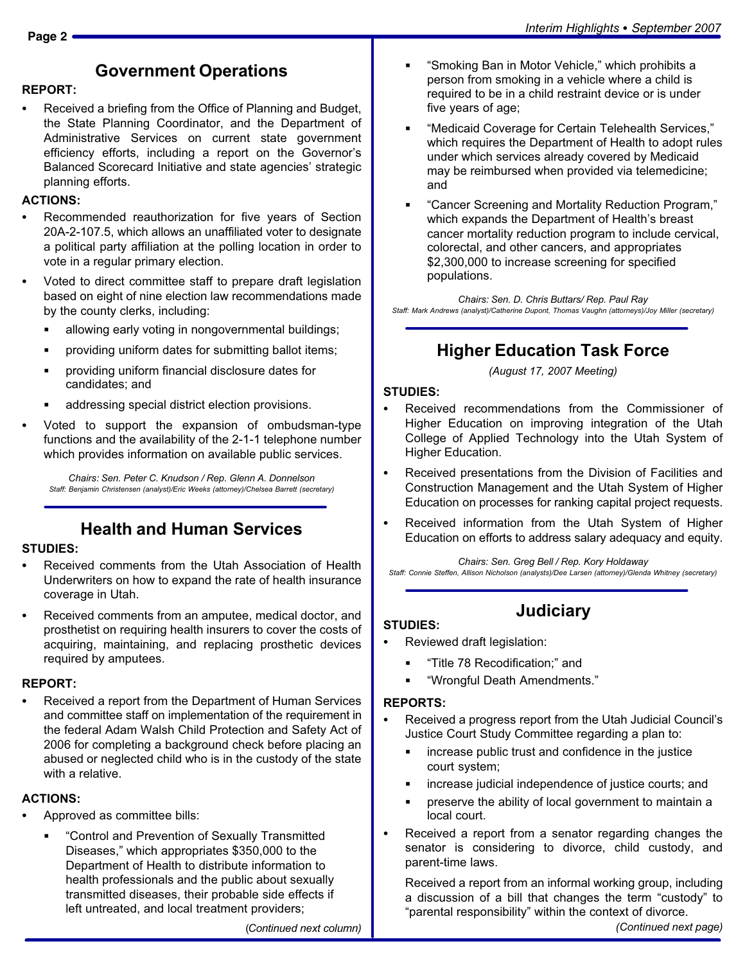### Government Operations

#### REPORT:

- Received a briefing from the Office of Planning and Budget, the State Planning Coordinator, and the Department of Administrative Services on current state government efficiency efforts, including a report on the Governor's Balanced Scorecard Initiative and state agencies' strategic planning efforts.

#### ACTIONS:

- - Recommended reauthorization for five years of Section 20A−2−107.5, which allows an unaffiliated voter to designate a political party affiliation at the polling location in order to vote in a regular primary election.
- - Voted to direct committee staff to prepare draft legislation based on eight of nine election law recommendations made by the county clerks, including:
	- allowing early voting in nongovernmental buildings;
	- providing uniform dates for submitting ballot items;
	- providing uniform financial disclosure dates for candidates; and
	- addressing special district election provisions.
- - Voted to support the expansion of ombudsman−type functions and the availability of the 2−1−1 telephone number which provides information on available public services.

Chairs: Sen. Peter C. Knudson / Rep. Glenn A. Donnelson Staff: Benjamin Christensen (analyst)/Eric Weeks (attorney)/Chelsea Barrett (secretary)

### Health and Human Services

#### STUDIES:

- - Received comments from the Utah Association of Health Underwriters on how to expand the rate of health insurance coverage in Utah.
- - Received comments from an amputee, medical doctor, and prosthetist on requiring health insurers to cover the costs of acquiring, maintaining, and replacing prosthetic devices required by amputees.

#### REPORT:

- Received a report from the Department of Human Services and committee staff on implementation of the requirement in the federal Adam Walsh Child Protection and Safety Act of 2006 for completing a background check before placing an abused or neglected child who is in the custody of the state with a relative.

#### ACTIONS:

- - Approved as committee bills:
	- -Control and Prevention of Sexually Transmitted Diseases," which appropriates \$350,000 to the Department of Health to distribute information to health professionals and the public about sexually transmitted diseases, their probable side effects if left untreated, and local treatment providers;
- -Smoking Ban in Motor Vehicle," which prohibits a person from smoking in a vehicle where a child is required to be in a child restraint device or is under five years of age;
- -Medicaid Coverage for Certain Telehealth Services," which requires the Department of Health to adopt rules under which services already covered by Medicaid may be reimbursed when provided via telemedicine; and
- -Cancer Screening and Mortality Reduction Program," which expands the Department of Health's breast cancer mortality reduction program to include cervical, colorectal, and other cancers, and appropriates \$2,300,000 to increase screening for specified populations.

Chairs: Sen. D. Chris Buttars/ Rep. Paul Ray Staff: Mark Andrews (analyst)/Catherine Dupont, Thomas Vaughn (attorneys)/Joy Miller (secretary)

# Higher Education Task Force

(August 17, 2007 Meeting)

#### STUDIES:

- - Received recommendations from the Commissioner of Higher Education on improving integration of the Utah College of Applied Technology into the Utah System of Higher Education.
- - Received presentations from the Division of Facilities and Construction Management and the Utah System of Higher Education on processes for ranking capital project requests.
- - Received information from the Utah System of Higher Education on efforts to address salary adequacy and equity.

Chairs: Sen. Greg Bell / Rep. Kory Holdaway

Staff: Connie Steffen, Allison Nicholson (analysts)/Dee Larsen (attorney)/Glenda Whitney (secretary)

**Judiciary** 

### STUDIES:

- - Reviewed draft legislation:
	- -Title 78 Recodification;" and
	- -Wrongful Death Amendments."

#### REPORTS:

- - Received a progress report from the Utah Judicial Council's Justice Court Study Committee regarding a plan to:
	- increase public trust and confidence in the justice court system;
	- increase judicial independence of justice courts; and
	- preserve the ability of local government to maintain a local court.
- - Received a report from a senator regarding changes the senator is considering to divorce, child custody, and parent−time laws.

Received a report from an informal working group, including a discussion of a bill that changes the term "custody" to -parental responsibility" within the context of divorce.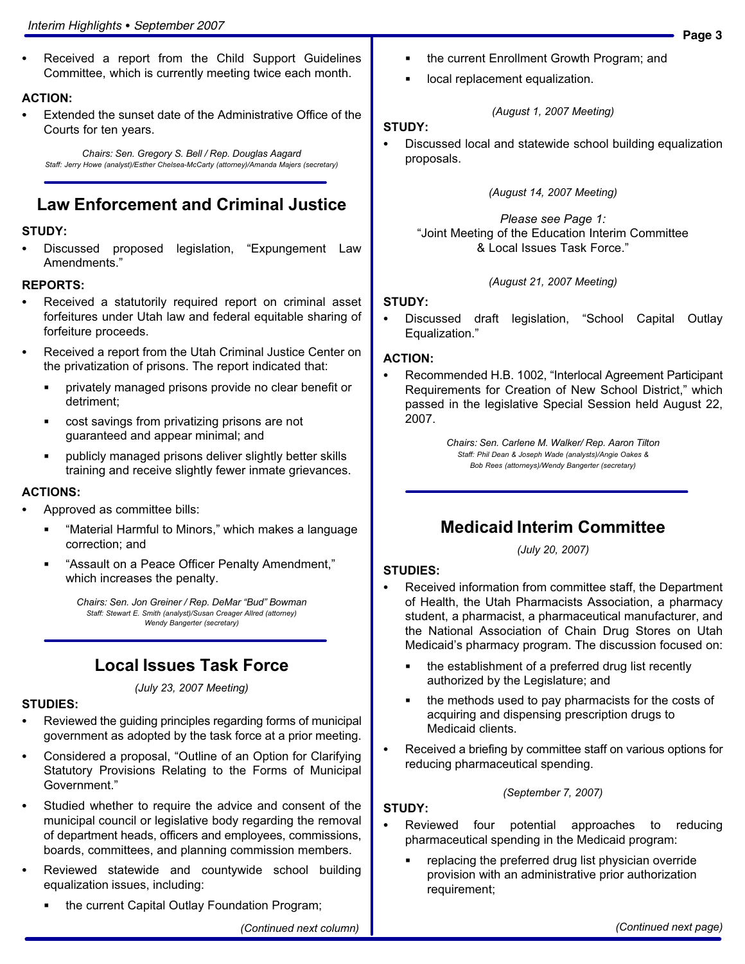- Received a report from the Child Support Guidelines Committee, which is currently meeting twice each month.

#### ACTION:

- Extended the sunset date of the Administrative Office of the Courts for ten years.

Chairs: Sen. Gregory S. Bell / Rep. Douglas Aagard Staff: Jerry Howe (analyst)/Esther Chelsea−McCarty (attorney)/Amanda Majers (secretary)

### Law Enforcement and Criminal Justice

#### STUDY:

-Discussed proposed legislation, Expungement Law Amendments."

#### REPORTS:

- - Received a statutorily required report on criminal asset forfeitures under Utah law and federal equitable sharing of forfeiture proceeds.
- - Received a report from the Utah Criminal Justice Center on the privatization of prisons. The report indicated that:
	- **Privately managed prisons provide no clear benefit or** detriment;
	- cost savings from privatizing prisons are not guaranteed and appear minimal; and
	- publicly managed prisons deliver slightly better skills training and receive slightly fewer inmate grievances.

#### ACTIONS:

- - Approved as committee bills:
	- -Material Harmful to Minors," which makes a language correction; and
	- -Assault on a Peace Officer Penalty Amendment," which increases the penalty.

Chairs: Sen. Jon Greiner / Rep. DeMar "Bud" Bowman Staff: Stewart E. Smith (analyst)/Susan Creager Allred (attorney) Wendy Bangerter (secretary)

### Local Issues Task Force

(July 23, 2007 Meeting)

#### STUDIES:

- - Reviewed the guiding principles regarding forms of municipal government as adopted by the task force at a prior meeting.
- -• Considered a proposal, "Outline of an Option for Clarifying Statutory Provisions Relating to the Forms of Municipal Government."
- - Studied whether to require the advice and consent of the municipal council or legislative body regarding the removal of department heads, officers and employees, commissions, boards, committees, and planning commission members.
- - Reviewed statewide and countywide school building equalization issues, including:
	- the current Capital Outlay Foundation Program;

**IDCAL replacement equalization.** 

#### STUDY:

- Discussed local and statewide school building equalization proposals.

(August 1, 2007 Meeting)

#### (August 14, 2007 Meeting)

Please see Page 1: -Joint Meeting of the Education Interim Committee & Local Issues Task Force."

#### (August 21, 2007 Meeting)

#### STUDY:

-

Discussed draft legislation, "School Capital Outlay Equalization."

#### ACTION:

-• Recommended H.B. 1002, "Interlocal Agreement Participant Requirements for Creation of New School District," which passed in the legislative Special Session held August 22, 2007.

> Chairs: Sen. Carlene M. Walker/ Rep. Aaron Tilton Staff: Phil Dean & Joseph Wade (analysts)/Angie Oakes & Bob Rees (attorneys)/Wendy Bangerter (secretary)

### Medicaid Interim Committee

(July 20, 2007)

#### STUDIES:

- - Received information from committee staff, the Department of Health, the Utah Pharmacists Association, a pharmacy student, a pharmacist, a pharmaceutical manufacturer, and the National Association of Chain Drug Stores on Utah Medicaid's pharmacy program. The discussion focused on:
	- the establishment of a preferred drug list recently authorized by the Legislature; and
	- the methods used to pay pharmacists for the costs of acquiring and dispensing prescription drugs to Medicaid clients.
- - Received a briefing by committee staff on various options for reducing pharmaceutical spending.

#### (September 7, 2007)

#### STUDY:

- - Reviewed four potential approaches to reducing pharmaceutical spending in the Medicaid program:
	- replacing the preferred drug list physician override provision with an administrative prior authorization requirement;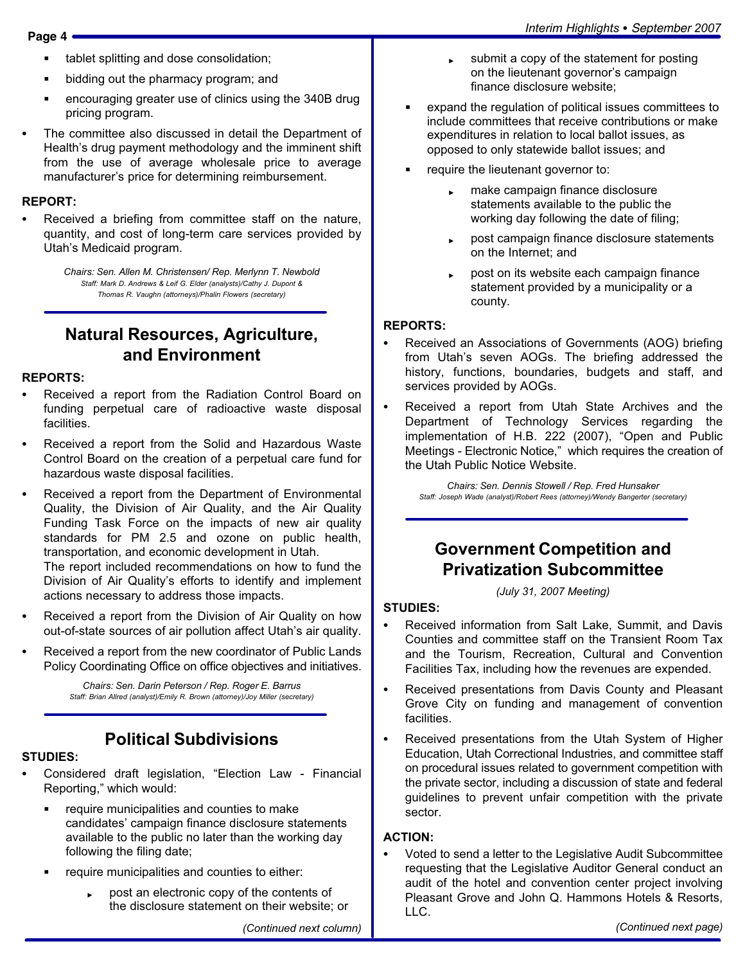- tablet splitting and dose consolidation;
- bidding out the pharmacy program; and
- encouraging greater use of clinics using the 340B drug pricing program.
- - The committee also discussed in detail the Department of Health's drug payment methodology and the imminent shift from the use of average wholesale price to average manufacturer's price for determining reimbursement.

#### REPORT:

- Received a briefing from committee staff on the nature, quantity, and cost of long−term care services provided by Utah's Medicaid program.

> Chairs: Sen. Allen M. Christensen/ Rep. Merlynn T. Newbold Staff: Mark D. Andrews & Leif G. Elder (analysts)/Cathy J. Dupont & Thomas R. Vaughn (attorneys)/Phalin Flowers (secretary)

### Natural Resources, Agriculture, and Environment

#### REPORTS:

- - Received a report from the Radiation Control Board on funding perpetual care of radioactive waste disposal facilities.
- - Received a report from the Solid and Hazardous Waste Control Board on the creation of a perpetual care fund for hazardous waste disposal facilities.
- - Received a report from the Department of Environmental Quality, the Division of Air Quality, and the Air Quality Funding Task Force on the impacts of new air quality standards for PM 2.5 and ozone on public health, transportation, and economic development in Utah. The report included recommendations on how to fund the Division of Air Quality´s efforts to identify and implement actions necessary to address those impacts.
- - Received a report from the Division of Air Quality on how out−of−state sources of air pollution affect Utah´s air quality.
- - Received a report from the new coordinator of Public Lands Policy Coordinating Office on office objectives and initiatives.

Chairs: Sen. Darin Peterson / Rep. Roger E. Barrus Staff: Brian Allred (analyst)/Emily R. Brown (attorney)/Joy Miller (secretary)

## Political Subdivisions

#### STUDIES:

- -• Considered draft legislation, "Election Law - Financial Reporting," which would:
	- require municipalities and counties to make candidates' campaign finance disclosure statements available to the public no later than the working day following the filing date;
	- require municipalities and counties to either:
		- post an electronic copy of the contents of the disclosure statement on their website; or

(Continued next column)

- submit a copy of the statement for posting on the lieutenant governor's campaign finance disclosure website;
- expand the regulation of political issues committees to include committees that receive contributions or make expenditures in relation to local ballot issues, as opposed to only statewide ballot issues; and
- require the lieutenant governor to:
	- make campaign finance disclosure statements available to the public the working day following the date of filing;
	- post campaign finance disclosure statements on the Internet; and
	- post on its website each campaign finance statement provided by a municipality or a county.

#### REPORTS:

- - Received an Associations of Governments (AOG) briefing from Utah's seven AOGs. The briefing addressed the history, functions, boundaries, budgets and staff, and services provided by AOGs.
- - Received a report from Utah State Archives and the Department of Technology Services regarding the implementation of H.B. 222 (2007), "Open and Public Meetings − Electronic Notice," which requires the creation of the Utah Public Notice Website.

Chairs: Sen. Dennis Stowell / Rep. Fred Hunsaker Staff: Joseph Wade (analyst)/Robert Rees (attorney)/Wendy Bangerter (secretary)

### Government Competition and Privatization Subcommittee

(July 31, 2007 Meeting)

#### STUDIES:

- - Received information from Salt Lake, Summit, and Davis Counties and committee staff on the Transient Room Tax and the Tourism, Recreation, Cultural and Convention Facilities Tax, including how the revenues are expended.
- $\bullet$  Received presentations from Davis County and Pleasant Grove City on funding and management of convention facilities.
- - Received presentations from the Utah System of Higher Education, Utah Correctional Industries, and committee staff on procedural issues related to government competition with the private sector, including a discussion of state and federal guidelines to prevent unfair competition with the private sector.

#### ACTION:

- Voted to send a letter to the Legislative Audit Subcommittee requesting that the Legislative Auditor General conduct an audit of the hotel and convention center project involving Pleasant Grove and John Q. Hammons Hotels & Resorts, LLC.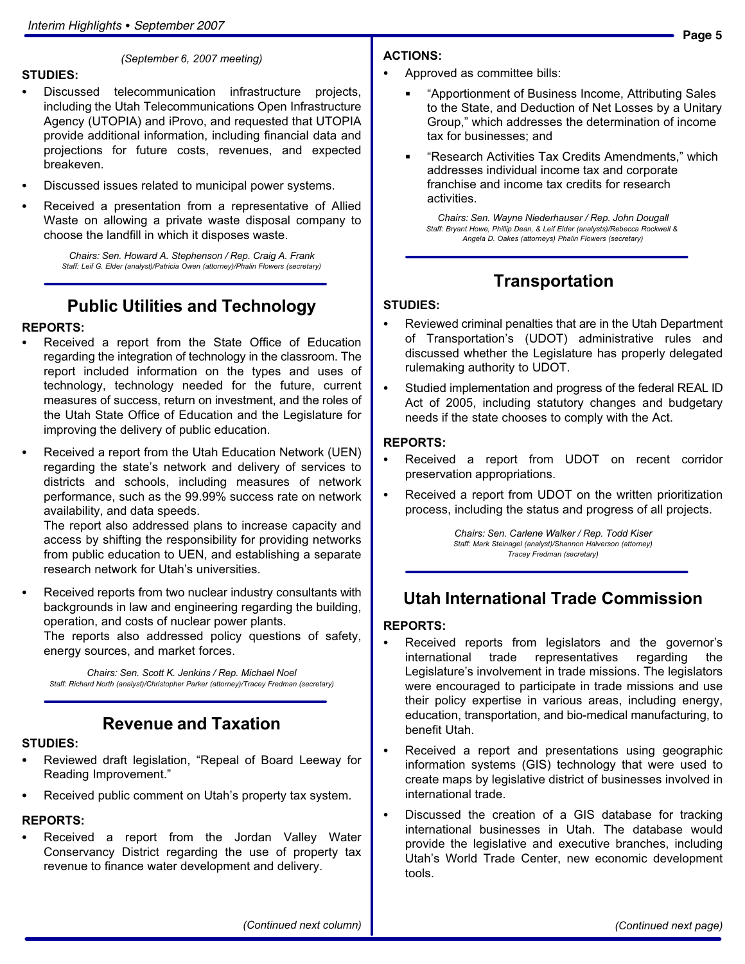#### STUDIES:

(September 6, 2007 meeting)

- - Discussed telecommunication infrastructure projects, including the Utah Telecommunications Open Infrastructure Agency (UTOPIA) and iProvo, and requested that UTOPIA provide additional information, including financial data and projections for future costs, revenues, and expected breakeven.
- -Discussed issues related to municipal power systems.
- - Received a presentation from a representative of Allied Waste on allowing a private waste disposal company to choose the landfill in which it disposes waste.

Chairs: Sen. Howard A. Stephenson / Rep. Craig A. Frank Staff: Leif G. Elder (analyst)/Patricia Owen (attorney)/Phalin Flowers (secretary)

# Public Utilities and Technology

#### REPORTS:

- - Received a report from the State Office of Education regarding the integration of technology in the classroom. The report included information on the types and uses of technology, technology needed for the future, current measures of success, return on investment, and the roles of the Utah State Office of Education and the Legislature for improving the delivery of public education.
- - Received a report from the Utah Education Network (UEN) regarding the state's network and delivery of services to districts and schools, including measures of network performance, such as the 99.99% success rate on network availability, and data speeds.

The report also addressed plans to increase capacity and access by shifting the responsibility for providing networks from public education to UEN, and establishing a separate research network for Utah's universities.

- Received reports from two nuclear industry consultants with backgrounds in law and engineering regarding the building, operation, and costs of nuclear power plants.

The reports also addressed policy questions of safety, energy sources, and market forces.

Chairs: Sen. Scott K. Jenkins / Rep. Michael Noel Staff: Richard North (analyst)/Christopher Parker (attorney)/Tracey Fredman (secretary)

### Revenue and Taxation

## STUDIES:<br>-

- Reviewed draft legislation, "Repeal of Board Leeway for Reading Improvement."
- Received public comment on Utah's property tax system.

#### REPORTS:

- Received a report from the Jordan Valley Water Conservancy District regarding the use of property tax revenue to finance water development and delivery.

#### ACTIONS:

- - Approved as committee bills:
	- -Apportionment of Business Income, Attributing Sales to the State, and Deduction of Net Losses by a Unitary Group," which addresses the determination of income tax for businesses; and
	- -Research Activities Tax Credits Amendments," which addresses individual income tax and corporate franchise and income tax credits for research activities.

Chairs: Sen. Wayne Niederhauser / Rep. John Dougall Staff: Bryant Howe, Phillip Dean, & Leif Elder (analysts)/Rebecca Rockwell & Angela D. Oakes (attorneys) Phalin Flowers (secretary)

### Transportation

#### STUDIES:

- - Reviewed criminal penalties that are in the Utah Department of Transportation's (UDOT) administrative rules and discussed whether the Legislature has properly delegated rulemaking authority to UDOT.
- - Studied implementation and progress of the federal REAL ID Act of 2005, including statutory changes and budgetary needs if the state chooses to comply with the Act.

#### REPORTS:

- - Received a report from UDOT on recent corridor preservation appropriations.
- - Received a report from UDOT on the written prioritization process, including the status and progress of all projects.

Chairs: Sen. Carlene Walker / Rep. Todd Kiser Staff: Mark Steinagel (analyst)/Shannon Halverson (attorney) Tracey Fredman (secretary)

### Utah International Trade Commission

#### REPORTS:

- - Received reports from legislators and the governor's international trade representatives regarding the Legislature's involvement in trade missions. The legislators were encouraged to participate in trade missions and use their policy expertise in various areas, including energy, education, transportation, and bio−medical manufacturing, to benefit Utah.
- - Received a report and presentations using geographic information systems (GIS) technology that were used to create maps by legislative district of businesses involved in international trade.
- - Discussed the creation of a GIS database for tracking international businesses in Utah. The database would provide the legislative and executive branches, including Utah's World Trade Center, new economic development tools.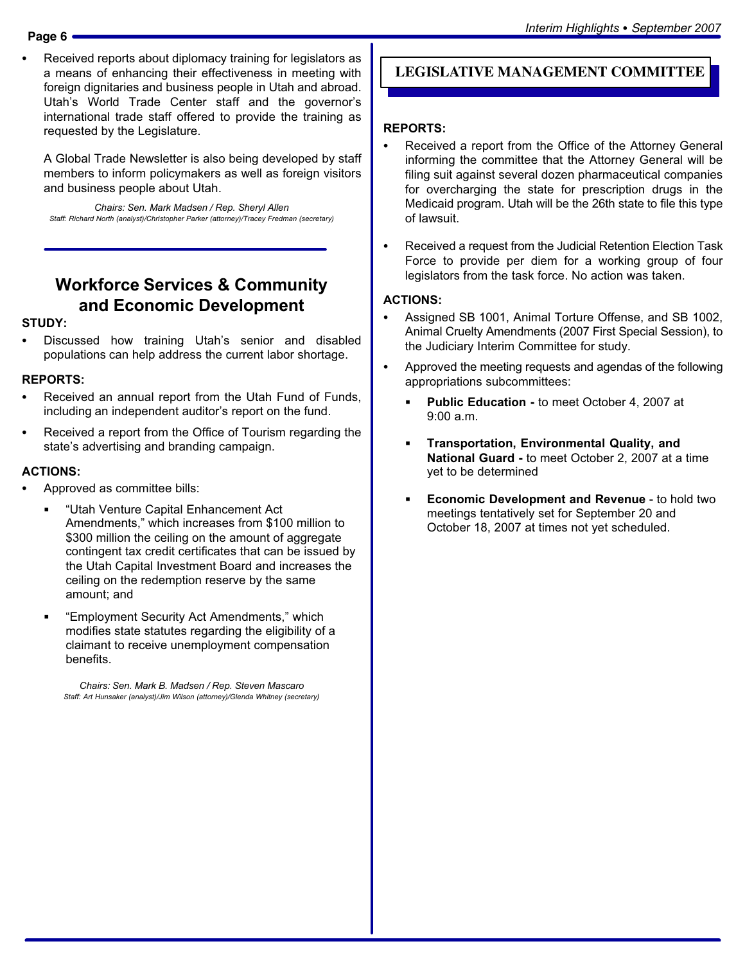-

 Received reports about diplomacy training for legislators as a means of enhancing their effectiveness in meeting with foreign dignitaries and business people in Utah and abroad. Utah's World Trade Center staff and the governor's international trade staff offered to provide the training as requested by the Legislature.

A Global Trade Newsletter is also being developed by staff members to inform policymakers as well as foreign visitors and business people about Utah.

Chairs: Sen. Mark Madsen / Rep. Sheryl Allen Staff: Richard North (analyst)/Christopher Parker (attorney)/Tracey Fredman (secretary)

# Workforce Services & Community and Economic Development

#### STUDY:

- Discussed how training Utah's senior and disabled populations can help address the current labor shortage.

#### REPORTS:

- - Received an annual report from the Utah Fund of Funds, including an independent auditor's report on the fund.
- - Received a report from the Office of Tourism regarding the state's advertising and branding campaign.

#### ACTIONS:

- - Approved as committee bills:
	- -Utah Venture Capital Enhancement Act Amendments," which increases from \$100 million to \$300 million the ceiling on the amount of aggregate contingent tax credit certificates that can be issued by the Utah Capital Investment Board and increases the ceiling on the redemption reserve by the same amount; and
	- -Employment Security Act Amendments," which modifies state statutes regarding the eligibility of a claimant to receive unemployment compensation benefits.

Chairs: Sen. Mark B. Madsen / Rep. Steven Mascaro Staff: Art Hunsaker (analyst)/Jim Wilson (attorney)/Glenda Whitney (secretary)

### **LEGISLATIVE MANAGEMENT COMMITTEE**

#### REPORTS:

- - Received a report from the Office of the Attorney General informing the committee that the Attorney General will be filing suit against several dozen pharmaceutical companies for overcharging the state for prescription drugs in the Medicaid program. Utah will be the 26th state to file this type of lawsuit.
- - Received a request from the Judicial Retention Election Task Force to provide per diem for a working group of four legislators from the task force. No action was taken.

#### ACTIONS:

- - Assigned SB 1001, Animal Torture Offense, and SB 1002, Animal Cruelty Amendments (2007 First Special Session), to the Judiciary Interim Committee for study.
- - Approved the meeting requests and agendas of the following appropriations subcommittees:
	- Public Education − to meet October 4, 2007 at 9:00 a.m.
	- Transportation, Environmental Quality, and National Guard − to meet October 2, 2007 at a time yet to be determined
	- Economic Development and Revenue − to hold two meetings tentatively set for September 20 and October 18, 2007 at times not yet scheduled.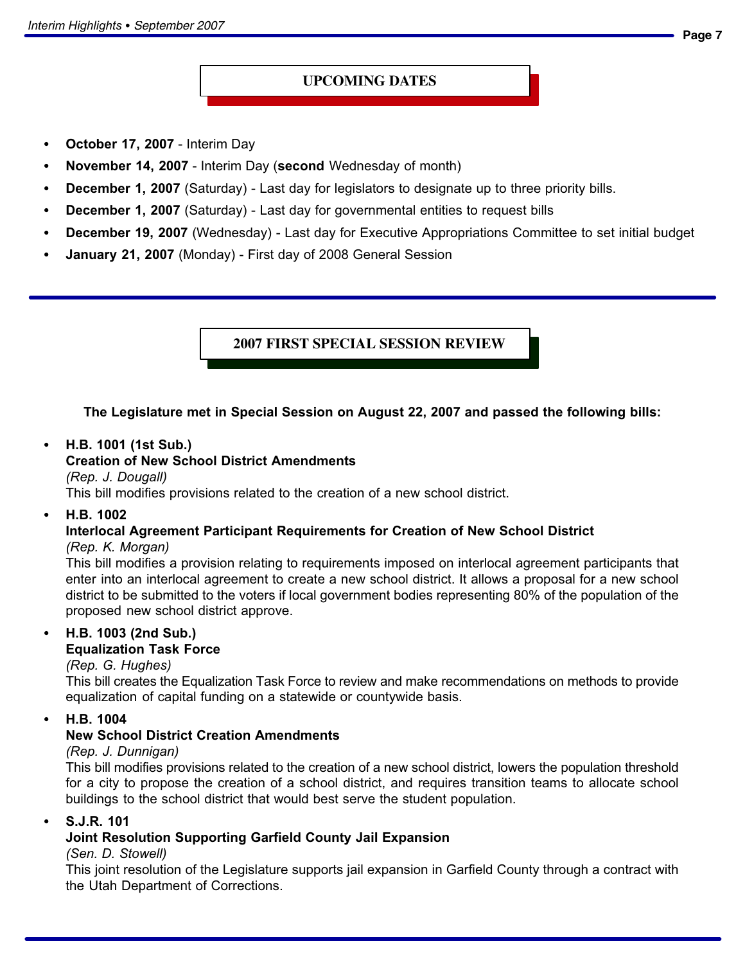### **UPCOMING DATES**

- $\bullet$ October 17, 2007 − Interim Day
- -November 14, 2007 − Interim Day (second Wednesday of month)
- $\bullet$ December 1, 2007 (Saturday) - Last day for legislators to designate up to three priority bills.
- $\bullet$ December 1, 2007 (Saturday) - Last day for governmental entities to request bills
- $\bullet$ December 19, 2007 (Wednesday) - Last day for Executive Appropriations Committee to set initial budget
- -January 21, 2007 (Monday) - First day of 2008 General Session

**2007 FIRST SPECIAL SESSION REVIEW**

### The Legislature met in Special Session on August 22, 2007 and passed the following bills:

#### $\bullet$ H.B. 1001 (1st Sub.)

#### Creation of New School District Amendments

(Rep. J. Dougall)

This bill modifies provisions related to the creation of a new school district.

-H.B. 1002

### Interlocal Agreement Participant Requirements for Creation of New School District

#### (Rep. K. Morgan)

This bill modifies a provision relating to requirements imposed on interlocal agreement participants that enter into an interlocal agreement to create a new school district. It allows a proposal for a new school district to be submitted to the voters if local government bodies representing 80% of the population of the proposed new school district approve.

#### -H.B. 1003 (2nd Sub.)

### Equalization Task Force

#### (Rep. G. Hughes)

This bill creates the Equalization Task Force to review and make recommendations on methods to provide equalization of capital funding on a statewide or countywide basis.

-H.B. 1004

### New School District Creation Amendments

#### (Rep. J. Dunnigan)

This bill modifies provisions related to the creation of a new school district, lowers the population threshold for a city to propose the creation of a school district, and requires transition teams to allocate school buildings to the school district that would best serve the student population.

#### -S.J.R. 101

### Joint Resolution Supporting Garfield County Jail Expansion

#### (Sen. D. Stowell)

This joint resolution of the Legislature supports jail expansion in Garfield County through a contract with the Utah Department of Corrections.